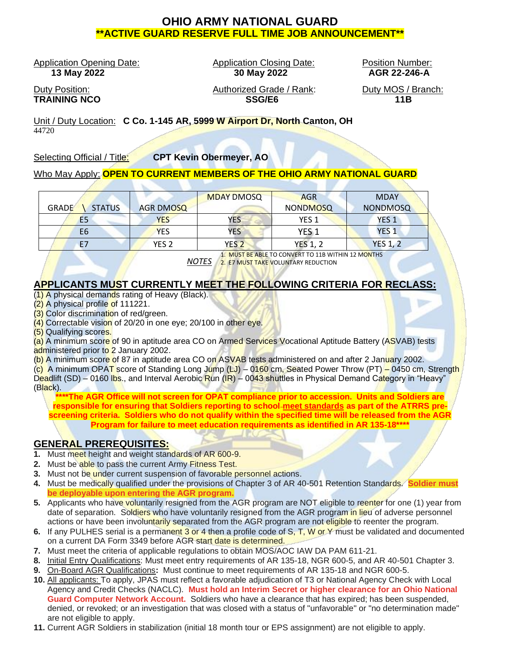# **OHIO ARMY NATIONAL GUARD \*\*ACTIVE GUARD RESERVE FULL TIME JOB ANNOUNCEMENT\*\***

Application Opening Date: Application Closing Date: Position Number:

 **13 May 2022 30 May 2022 AGR 22-246-A**

Duty Position: Authorized Grade / Rank: Duty MOS / Branch: **TRAINING NCO SSG/E6 11B**

œ

Unit / Duty Location: **C Co. 1-145 AR, 5999 W Airport Dr, North Canton, OH** 44720

Selecting Official / Title: **CPT Kevin Obermeyer, AO**

## Who May Apply: **OPEN TO CURRENT MEMBERS OF THE OHIO ARMY NATIONAL GUARD**

|                               |                  | <b>MDAY DMOSQ</b> | <b>AGR</b>       | <b>MDAY</b>     |
|-------------------------------|------------------|-------------------|------------------|-----------------|
| <b>STATUS</b><br><b>GRADE</b> | AGR DMOSQ        |                   | <b>NONDMOSQ</b>  | <b>NONDMOSQ</b> |
| E <sub>5</sub>                | YES              | YES               | YES <sub>1</sub> | <b>YES 1</b>    |
| E <sub>6</sub>                | <b>YES</b>       | YES               | YES 1            | <b>YES 1</b>    |
|                               | YES <sub>2</sub> | YES <sub>2</sub>  | <b>YES 1, 2</b>  | <b>YES 1, 2</b> |

*NOTES*  2. E7 MUST TAKE VOLUNTARY REDUCTION 1. MUST BE ABLE TO CONVERT TO 11B WITHIN 12 MONTHS

- 1

## **APPLICANTS MUST CURRENTLY MEET THE FOLLOWING CRITERIA FOR RECLASS:**

(1) A physical demands rating of Heavy (Black).

- (2) A physical profile of 111221.
- (3) Color discrimination of red/green.
- (4) Correctable vision of 20/20 in one eye; 20/100 in other eye.

(5) Qualifying scores.

(a) A minimum score of 90 in aptitude area CO on Armed Services Vocational Aptitude Battery (ASVAB) tests administered prior to 2 January 2002.

(b) A minimum score of 87 in aptitude area CO on ASVAB tests administered on and after 2 January 2002.

(c) A minimum OPAT score of Standing Long Jump (LJ) – 0160 cm, Seated Power Throw (PT) – 0450 cm, Strength Deadlift (SD) – 0160 lbs., and Interval Aerobic Run (IR) – 0043 shuttles in Physical Demand Category in "Heavy" (Black).

**\*\*\*\*The AGR Office will not screen for OPAT compliance prior to accession. Units and Soldiers are responsible for ensuring that Soldiers reporting to school meet standards as part of the ATRRS prescreening criteria. Soldiers who do not qualify within the specified time will be released from the AGR Program for failure to meet education requirements as identified in AR 135-18\*\*\*\***

## **GENERAL PREREQUISITES:**

- **1.** Must meet height and weight standards of AR 600-9.
- **2.** Must be able to pass the current Army Fitness Test.
- **3.** Must not be under current suspension of favorable personnel actions.
- **4.** Must be medically qualified under the provisions of Chapter 3 of AR 40-501 Retention Standards. **Soldier must be deployable upon entering the AGR program.**
- **5.** Applicants who have voluntarily resigned from the AGR program are NOT eligible to reenter for one (1) year from date of separation. Soldiers who have voluntarily resigned from the AGR program in lieu of adverse personnel actions or have been involuntarily separated from the AGR program are not eligible to reenter the program.
- **6.** If any PULHES serial is a permanent 3 or 4 then a profile code of S, T, W or Y must be validated and documented on a current DA Form 3349 before AGR start date is determined.
- **7.** Must meet the criteria of applicable regulations to obtain MOS/AOC IAW DA PAM 611-21.
- **8.** Initial Entry Qualifications: Must meet entry requirements of AR 135-18, NGR 600-5, and AR 40-501 Chapter 3.
- **9.** On-Board AGR Qualifications**:** Must continue to meet requirements of AR 135-18 and NGR 600-5.
- **10.** All applicants: To apply, JPAS must reflect a favorable adjudication of T3 or National Agency Check with Local Agency and Credit Checks (NACLC). **Must hold an Interim Secret or higher clearance for an Ohio National Guard Computer Network Account.** Soldiers who have a clearance that has expired; has been suspended, denied, or revoked; or an investigation that was closed with a status of "unfavorable" or "no determination made" are not eligible to apply.
- **11.** Current AGR Soldiers in stabilization (initial 18 month tour or EPS assignment) are not eligible to apply.